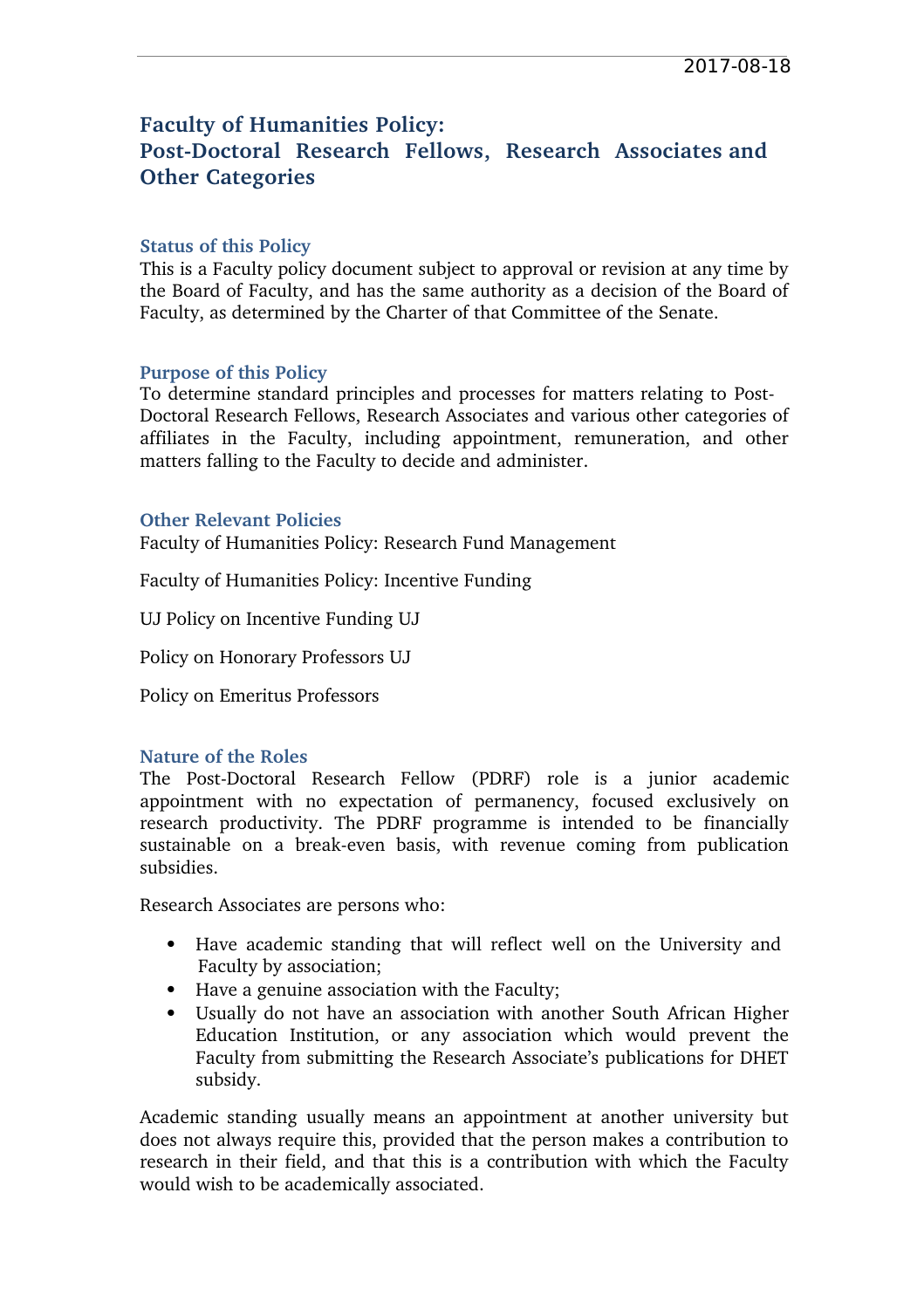# **Faculty of Humanities Policy: PostDoctoral Research Fellows, Research Associates and Other Categories**

#### **Status of this Policy**

This is a Faculty policy document subject to approval or revision at any time by the Board of Faculty, and has the same authority as a decision of the Board of Faculty, as determined by the Charter of that Committee of the Senate.

## **Purpose of this Policy**

To determine standard principles and processes for matters relating to Post-Doctoral Research Fellows, Research Associates and various other categories of affiliates in the Faculty, including appointment, remuneration, and other matters falling to the Faculty to decide and administer.

## **Other Relevant Policies**

Faculty of Humanities Policy: Research Fund Management

Faculty of Humanities Policy: Incentive Funding

UJ Policy on Incentive Funding UJ

Policy on Honorary Professors UJ

Policy on Emeritus Professors

#### **Nature of the Roles**

The Post-Doctoral Research Fellow (PDRF) role is a junior academic appointment with no expectation of permanency, focused exclusively on research productivity. The PDRF programme is intended to be financially sustainable on a break-even basis, with revenue coming from publication subsidies.

Research Associates are persons who:

- Have academic standing that will reflect well on the University and Faculty by association;
- Have a genuine association with the Faculty;
- Usually do not have an association with another South African Higher Education Institution, or any association which would prevent the Faculty from submitting the Research Associate's publications for DHET subsidy.

Academic standing usually means an appointment at another university but does not always require this, provided that the person makes a contribution to research in their field, and that this is a contribution with which the Faculty would wish to be academically associated.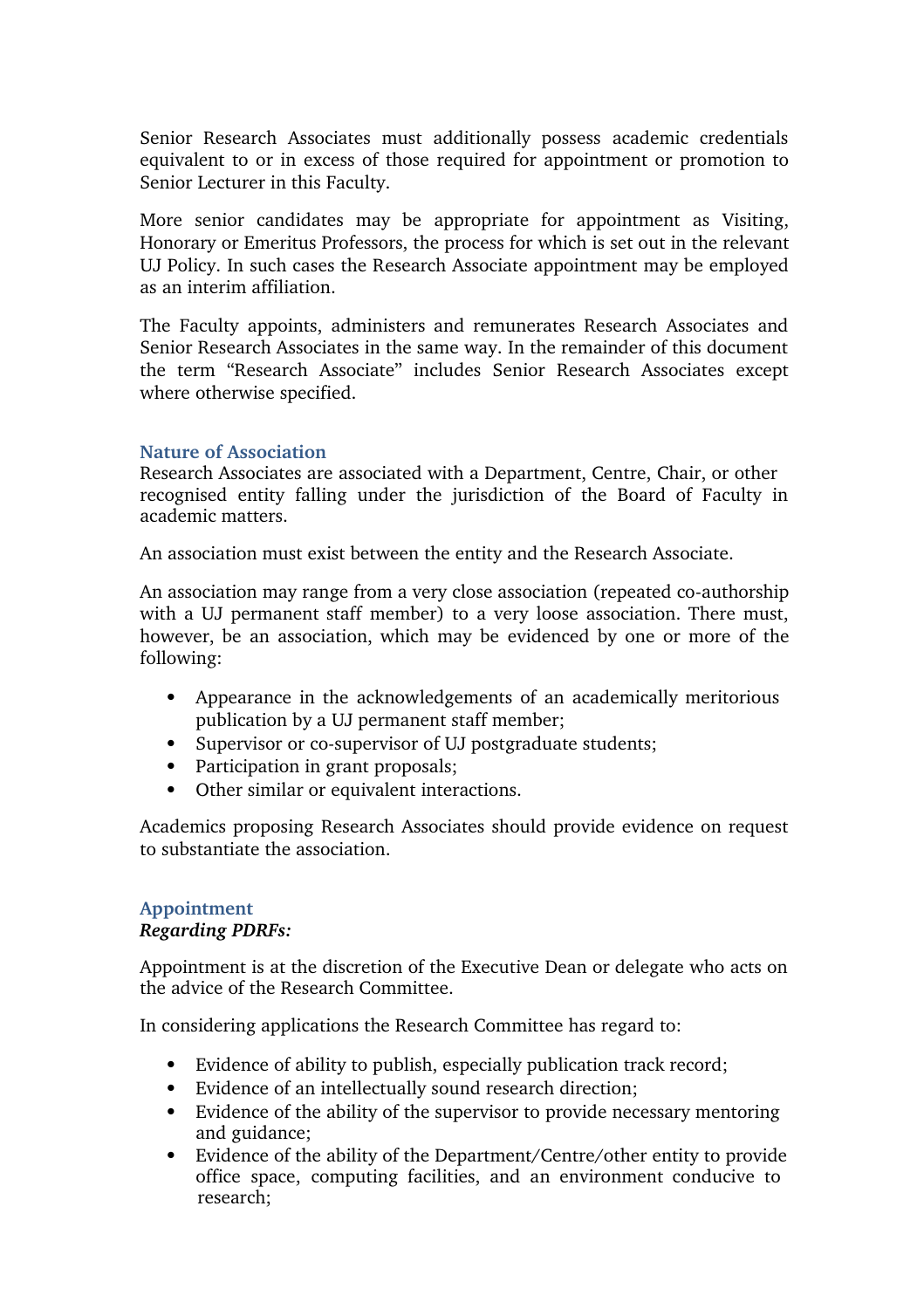Senior Research Associates must additionally possess academic credentials equivalent to or in excess of those required for appointment or promotion to Senior Lecturer in this Faculty.

More senior candidates may be appropriate for appointment as Visiting, Honorary or Emeritus Professors, the process for which is set out in the relevant UJ Policy. In such cases the Research Associate appointment may be employed as an interim affiliation.

The Faculty appoints, administers and remunerates Research Associates and Senior Research Associates in the same way. In the remainder of this document the term "Research Associate" includes Senior Research Associates except where otherwise specified.

#### **Nature of Association**

Research Associates are associated with a Department, Centre, Chair, or other recognised entity falling under the jurisdiction of the Board of Faculty in academic matters.

An association must exist between the entity and the Research Associate.

An association may range from a very close association (repeated co-authorship with a UJ permanent staff member) to a very loose association. There must, however, be an association, which may be evidenced by one or more of the following:

- Appearance in the acknowledgements of an academically meritorious publication by a UJ permanent staff member;
- Supervisor or co-supervisor of UJ postgraduate students;
- Participation in grant proposals;
- Other similar or equivalent interactions.

Academics proposing Research Associates should provide evidence on request to substantiate the association.

#### **Appointment** *Regarding PDRFs:*

Appointment is at the discretion of the Executive Dean or delegate who acts on the advice of the Research Committee.

In considering applications the Research Committee has regard to:

- Evidence of ability to publish, especially publication track record;
- Evidence of an intellectually sound research direction;
- Evidence of the ability of the supervisor to provide necessary mentoring and guidance;
- Evidence of the ability of the Department/Centre/other entity to provide office space, computing facilities, and an environment conducive to research;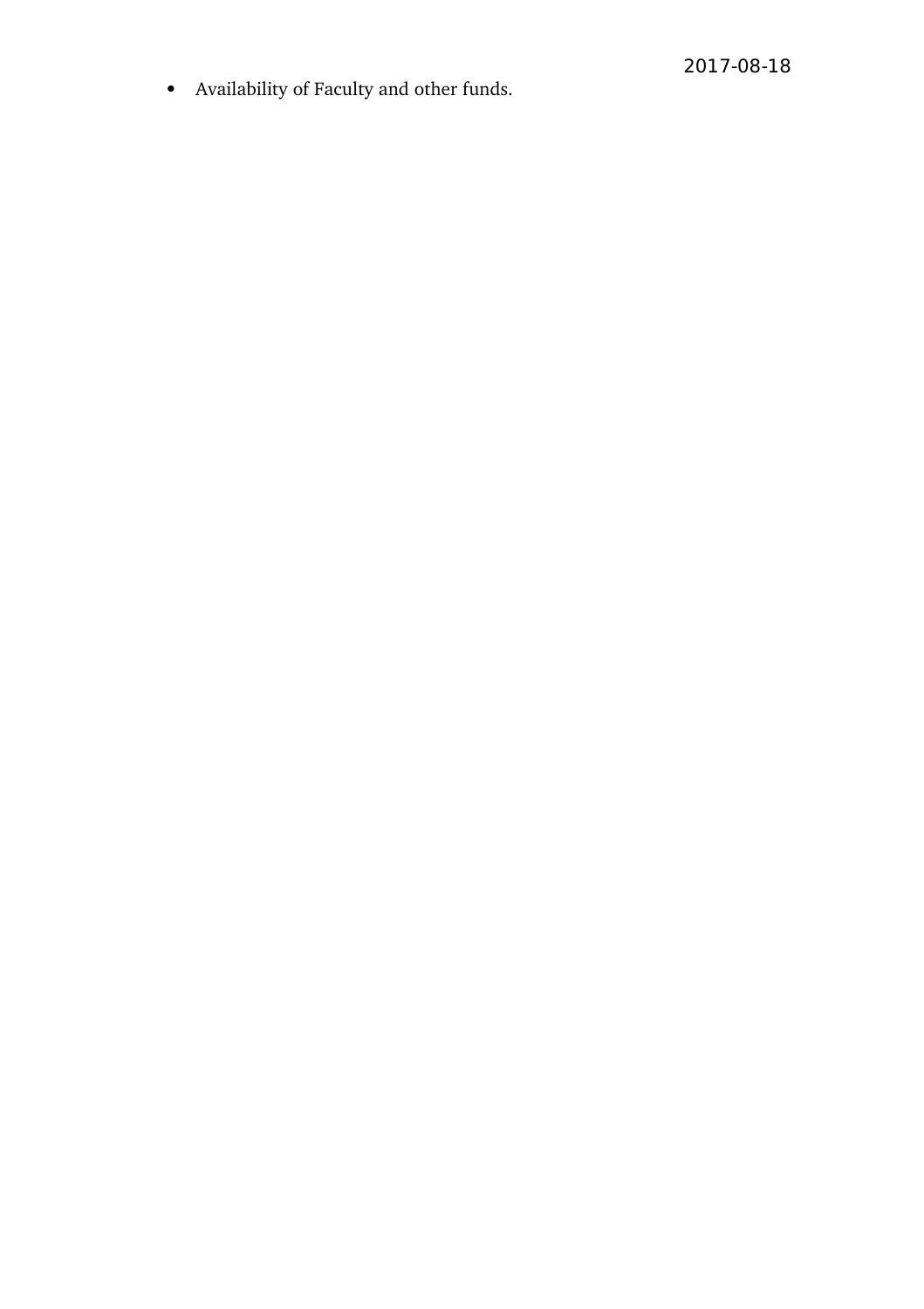• Availability of Faculty and other funds.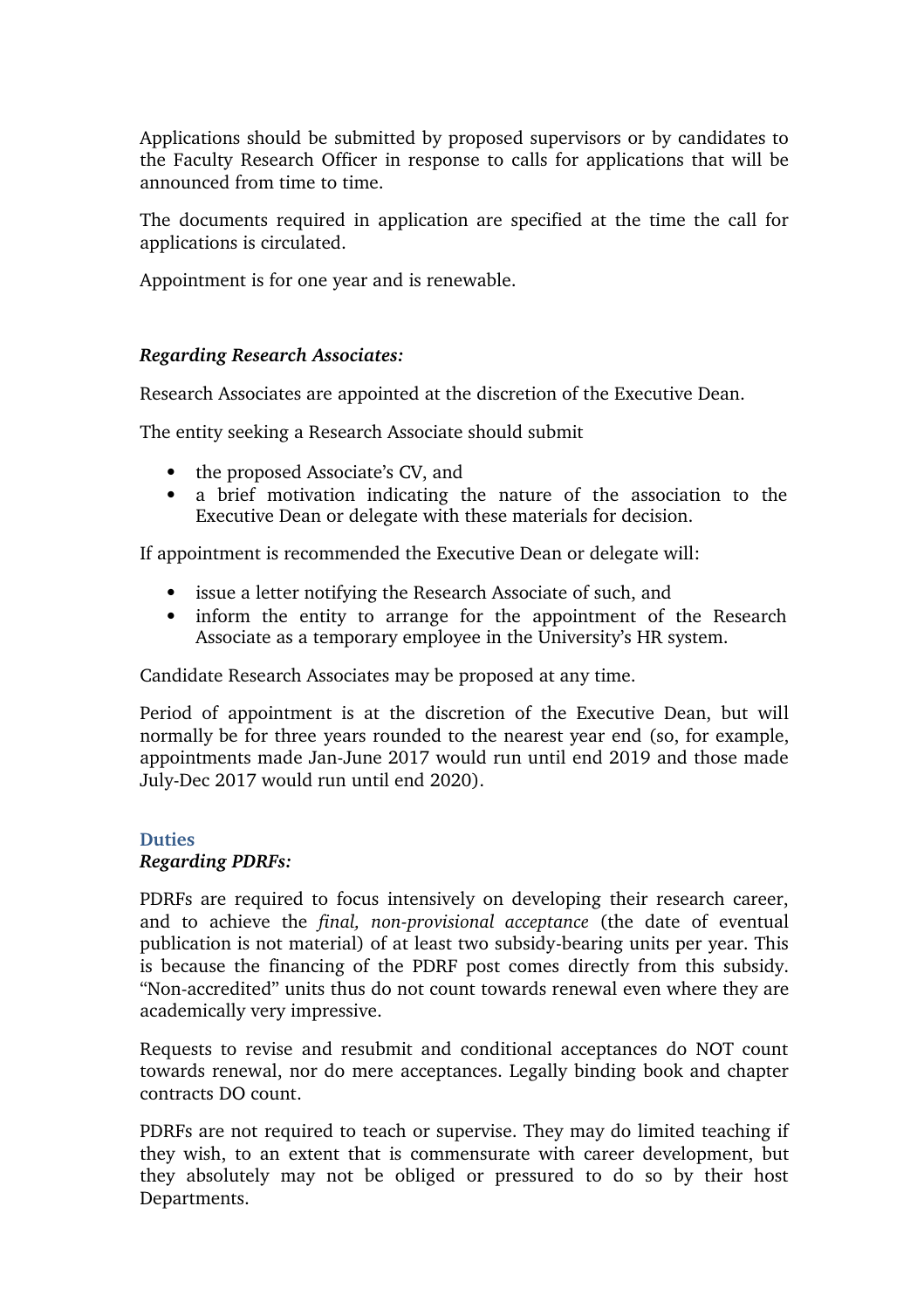Applications should be submitted by proposed supervisors or by candidates to the Faculty Research Officer in response to calls for applications that will be announced from time to time.

The documents required in application are specified at the time the call for applications is circulated.

Appointment is for one year and is renewable.

# *Regarding Research Associates:*

Research Associates are appointed at the discretion of the Executive Dean.

The entity seeking a Research Associate should submit

- the proposed Associate's CV, and
- a brief motivation indicating the nature of the association to the Executive Dean or delegate with these materials for decision.

If appointment is recommended the Executive Dean or delegate will:

- issue a letter notifying the Research Associate of such, and
- inform the entity to arrange for the appointment of the Research Associate as a temporary employee in the University's HR system.

Candidate Research Associates may be proposed at any time.

Period of appointment is at the discretion of the Executive Dean, but will normally be for three years rounded to the nearest year end (so, for example, appointments made Jan-June 2017 would run until end 2019 and those made July-Dec 2017 would run until end 2020).

#### **Duties** *Regarding PDRFs:*

PDRFs are required to focus intensively on developing their research career, and to achieve the *final, non-provisional acceptance* (the date of eventual publication is not material) of at least two subsidy-bearing units per year. This is because the financing of the PDRF post comes directly from this subsidy. "Non-accredited" units thus do not count towards renewal even where they are academically very impressive.

Requests to revise and resubmit and conditional acceptances do NOT count towards renewal, nor do mere acceptances. Legally binding book and chapter contracts DO count.

PDRFs are not required to teach or supervise. They may do limited teaching if they wish, to an extent that is commensurate with career development, but they absolutely may not be obliged or pressured to do so by their host Departments.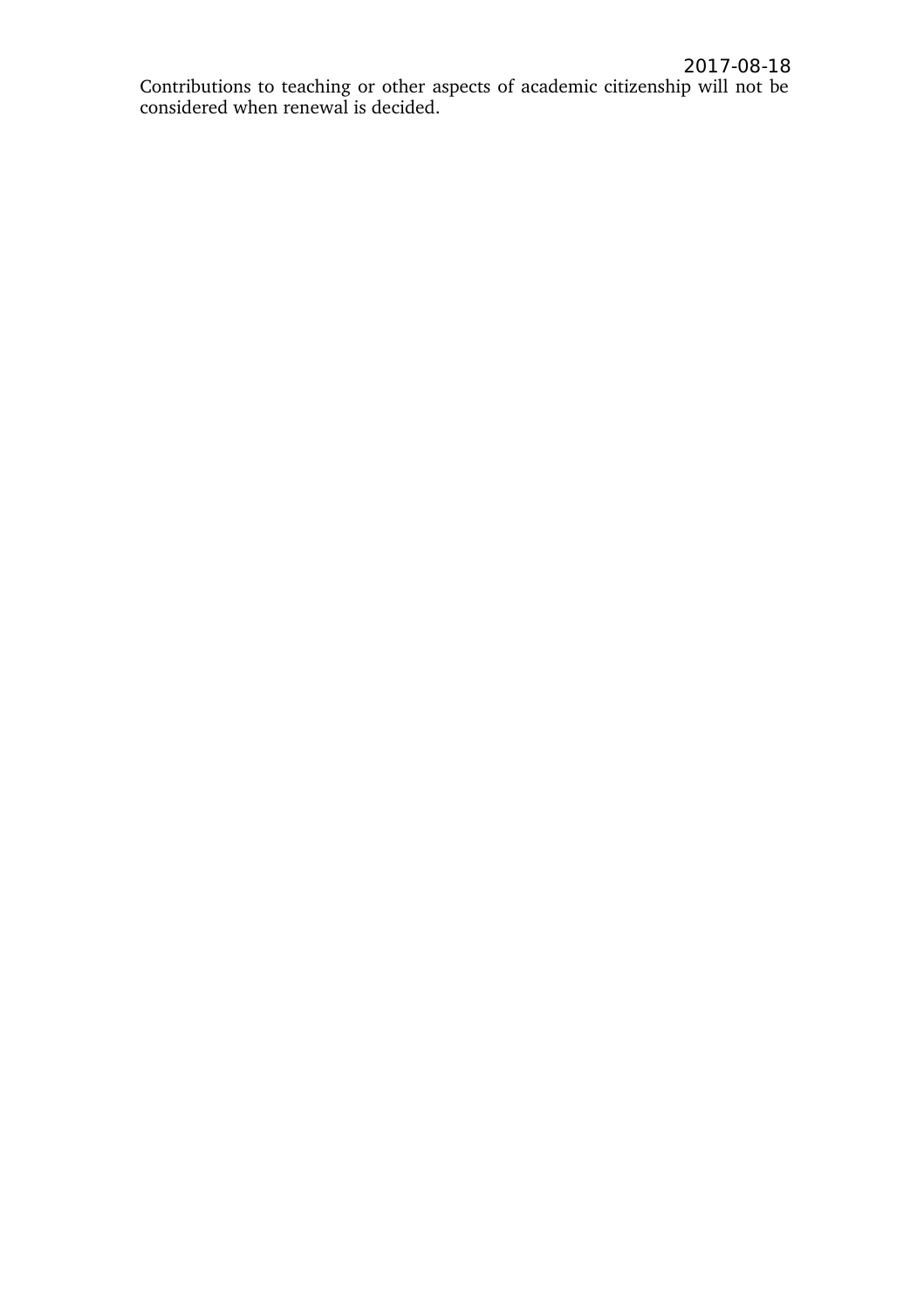Contributions to teaching or other aspects of academic citizenship will not be considered when renewal is decided.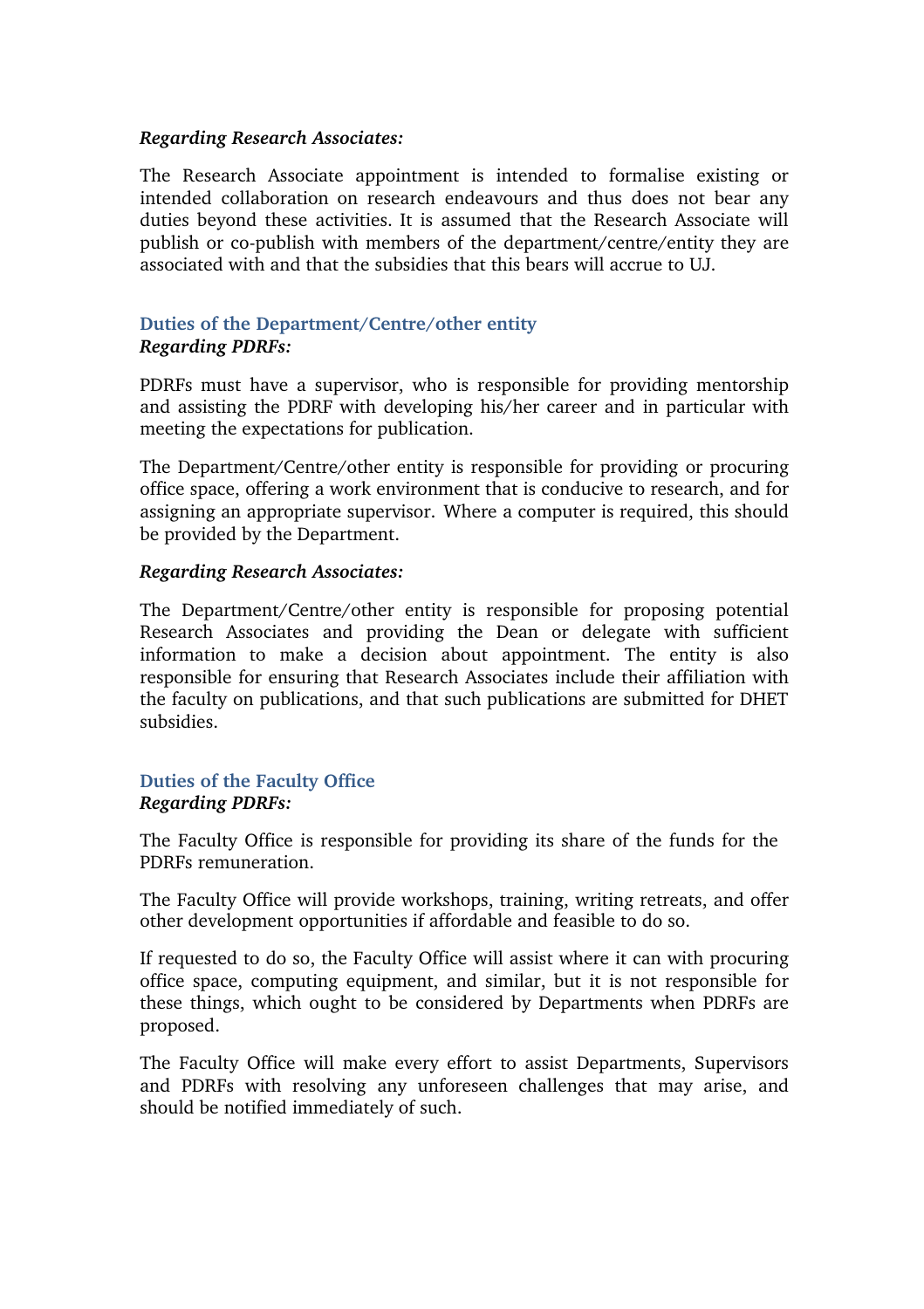## *Regarding Research Associates:*

The Research Associate appointment is intended to formalise existing or intended collaboration on research endeavours and thus does not bear any duties beyond these activities. It is assumed that the Research Associate will publish or co-publish with members of the department/centre/entity they are associated with and that the subsidies that this bears will accrue to UJ.

# **Duties of the Department/Centre/other entity** *Regarding PDRFs:*

PDRFs must have a supervisor, who is responsible for providing mentorship and assisting the PDRF with developing his/her career and in particular with meeting the expectations for publication.

The Department/Centre/other entity is responsible for providing or procuring office space, offering a work environment that is conducive to research, and for assigning an appropriate supervisor. Where a computer is required, this should be provided by the Department.

## *Regarding Research Associates:*

The Department/Centre/other entity is responsible for proposing potential Research Associates and providing the Dean or delegate with sufficient information to make a decision about appointment. The entity is also responsible for ensuring that Research Associates include their affiliation with the faculty on publications, and that such publications are submitted for DHET subsidies.

## **Duties of the Faculty Office** *Regarding PDRFs:*

The Faculty Office is responsible for providing its share of the funds for the PDRFs remuneration.

The Faculty Office will provide workshops, training, writing retreats, and offer other development opportunities if affordable and feasible to do so.

If requested to do so, the Faculty Office will assist where it can with procuring office space, computing equipment, and similar, but it is not responsible for these things, which ought to be considered by Departments when PDRFs are proposed.

The Faculty Office will make every effort to assist Departments, Supervisors and PDRFs with resolving any unforeseen challenges that may arise, and should be notified immediately of such.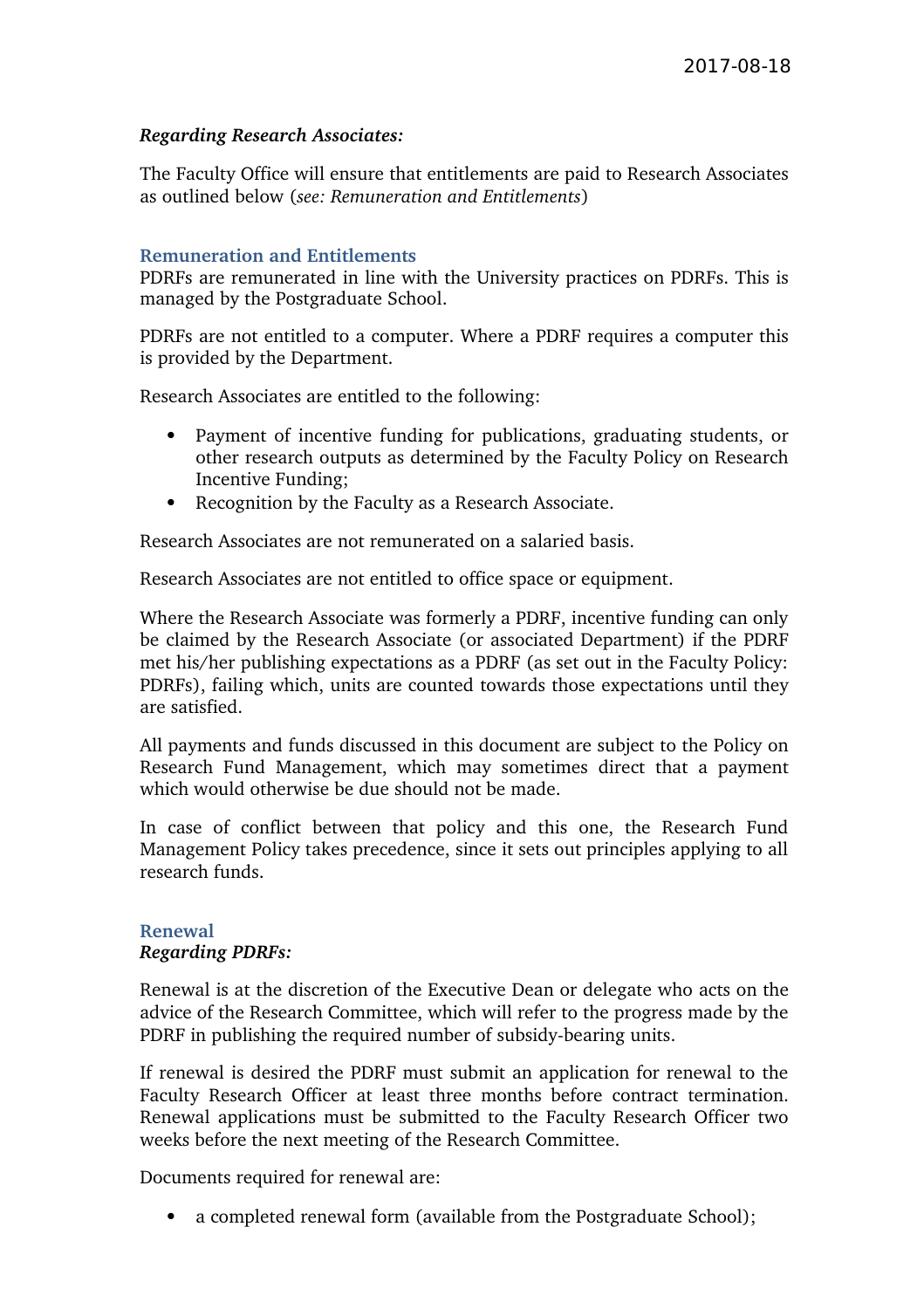## *Regarding Research Associates:*

The Faculty Office will ensure that entitlements are paid to Research Associates as outlined below (*see: Remuneration and Entitlements*)

## **Remuneration and Entitlements**

PDRFs are remunerated in line with the University practices on PDRFs. This is managed by the Postgraduate School.

PDRFs are not entitled to a computer. Where a PDRF requires a computer this is provided by the Department.

Research Associates are entitled to the following:

- Payment of incentive funding for publications, graduating students, or other research outputs as determined by the Faculty Policy on Research Incentive Funding;
- Recognition by the Faculty as a Research Associate.

Research Associates are not remunerated on a salaried basis.

Research Associates are not entitled to office space or equipment.

Where the Research Associate was formerly a PDRF, incentive funding can only be claimed by the Research Associate (or associated Department) if the PDRF met his/her publishing expectations as a PDRF (as set out in the Faculty Policy: PDRFs), failing which, units are counted towards those expectations until they are satisfied.

All payments and funds discussed in this document are subject to the Policy on Research Fund Management, which may sometimes direct that a payment which would otherwise be due should not be made.

In case of conflict between that policy and this one, the Research Fund Management Policy takes precedence, since it sets out principles applying to all research funds.

## **Renewal** *Regarding PDRFs:*

Renewal is at the discretion of the Executive Dean or delegate who acts on the advice of the Research Committee, which will refer to the progress made by the PDRF in publishing the required number of subsidy-bearing units.

If renewal is desired the PDRF must submit an application for renewal to the Faculty Research Officer at least three months before contract termination. Renewal applications must be submitted to the Faculty Research Officer two weeks before the next meeting of the Research Committee.

Documents required for renewal are:

• a completed renewal form (available from the Postgraduate School);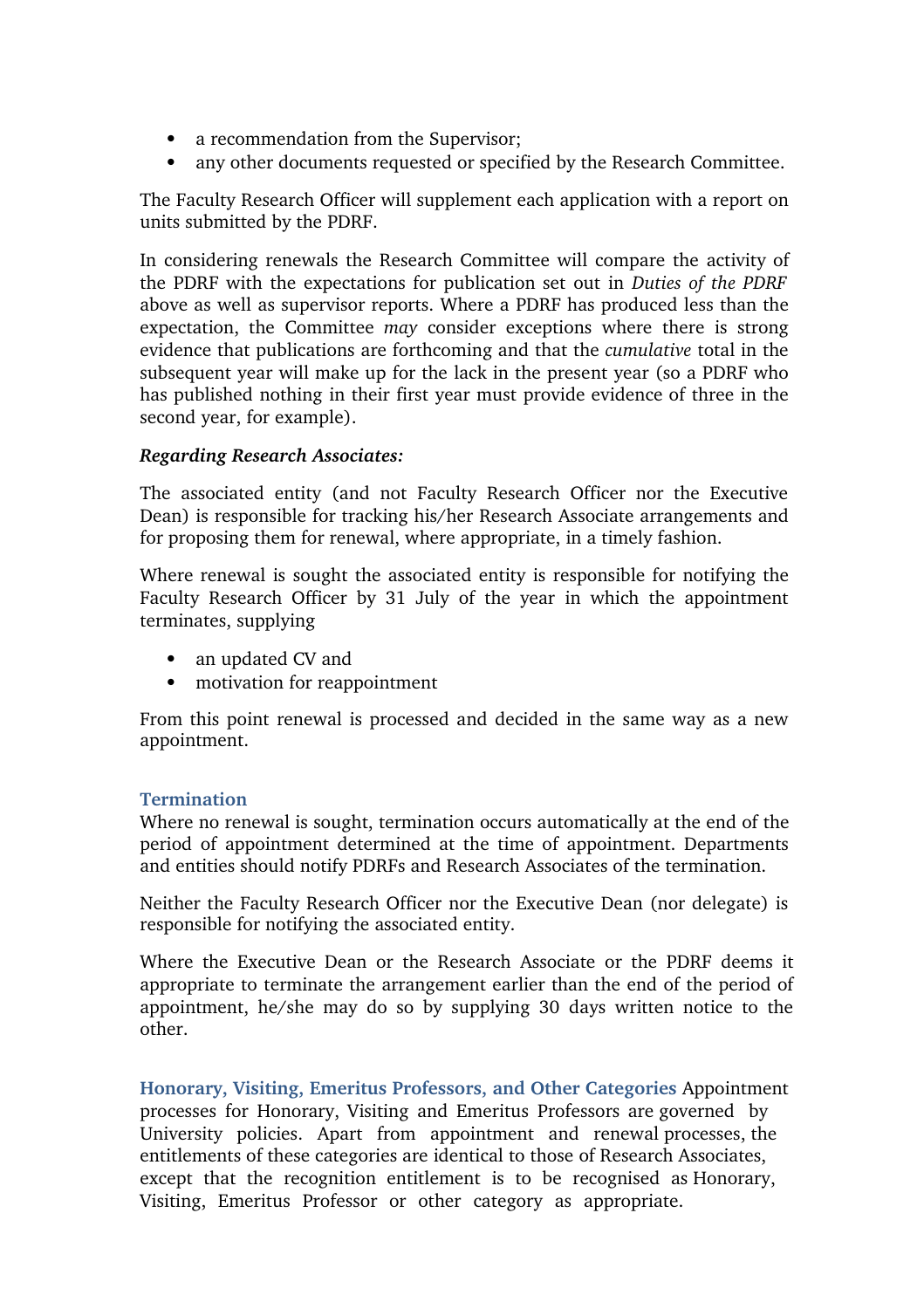- a recommendation from the Supervisor;
- any other documents requested or specified by the Research Committee.

The Faculty Research Officer will supplement each application with a report on units submitted by the PDRF.

In considering renewals the Research Committee will compare the activity of the PDRF with the expectations for publication set out in *Duties of the PDRF* above as well as supervisor reports. Where a PDRF has produced less than the expectation, the Committee *may* consider exceptions where there is strong evidence that publications are forthcoming and that the *cumulative* total in the subsequent year will make up for the lack in the present year (so a PDRF who has published nothing in their first year must provide evidence of three in the second year, for example).

# *Regarding Research Associates:*

The associated entity (and not Faculty Research Officer nor the Executive Dean) is responsible for tracking his/her Research Associate arrangements and for proposing them for renewal, where appropriate, in a timely fashion.

Where renewal is sought the associated entity is responsible for notifying the Faculty Research Officer by 31 July of the year in which the appointment terminates, supplying

- an updated CV and
- motivation for reappointment

From this point renewal is processed and decided in the same way as a new appointment.

# **Termination**

Where no renewal is sought, termination occurs automatically at the end of the period of appointment determined at the time of appointment. Departments and entities should notify PDRFs and Research Associates of the termination.

Neither the Faculty Research Officer nor the Executive Dean (nor delegate) is responsible for notifying the associated entity.

Where the Executive Dean or the Research Associate or the PDRF deems it appropriate to terminate the arrangement earlier than the end of the period of appointment, he/she may do so by supplying 30 days written notice to the other.

**Honorary, Visiting, Emeritus Professors, and Other Categories** Appointment processes for Honorary, Visiting and Emeritus Professors are governed by University policies. Apart from appointment and renewal processes, the entitlements of these categories are identical to those of Research Associates, except that the recognition entitlement is to be recognised as Honorary, Visiting, Emeritus Professor or other category as appropriate.